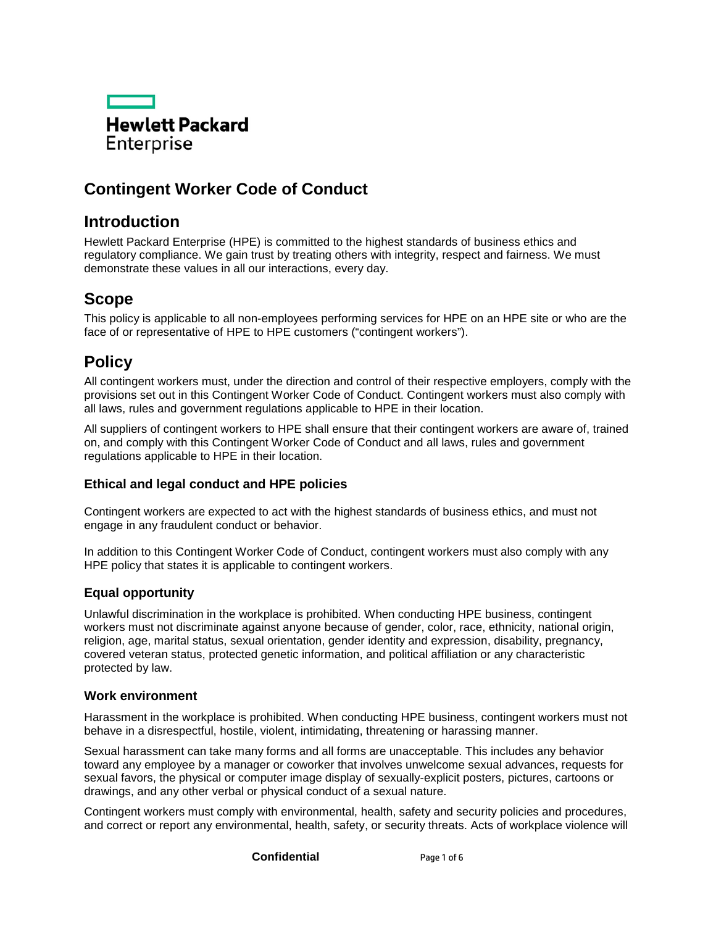

# **Contingent Worker Code of Conduct**

## **Introduction**

Hewlett Packard Enterprise (HPE) is committed to the highest standards of business ethics and regulatory compliance. We gain trust by treating others with integrity, respect and fairness. We must demonstrate these values in all our interactions, every day.

## **Scope**

This policy is applicable to all non-employees performing services for HPE on an HPE site or who are the face of or representative of HPE to HPE customers ("contingent workers").

## **Policy**

All contingent workers must, under the direction and control of their respective employers, comply with the provisions set out in this Contingent Worker Code of Conduct. Contingent workers must also comply with all laws, rules and government regulations applicable to HPE in their location.

All suppliers of contingent workers to HPE shall ensure that their contingent workers are aware of, trained on, and comply with this Contingent Worker Code of Conduct and all laws, rules and government regulations applicable to HPE in their location.

## **Ethical and legal conduct and HPE policies**

Contingent workers are expected to act with the highest standards of business ethics, and must not engage in any fraudulent conduct or behavior.

In addition to this Contingent Worker Code of Conduct, contingent workers must also comply with any HPE policy that states it is applicable to contingent workers.

## **Equal opportunity**

Unlawful discrimination in the workplace is prohibited. When conducting HPE business, contingent workers must not discriminate against anyone because of gender, color, race, ethnicity, national origin, religion, age, marital status, sexual orientation, gender identity and expression, disability, pregnancy, covered veteran status, protected genetic information, and political affiliation or any characteristic protected by law.

## **Work environment**

Harassment in the workplace is prohibited. When conducting HPE business, contingent workers must not behave in a disrespectful, hostile, violent, intimidating, threatening or harassing manner.

Sexual harassment can take many forms and all forms are unacceptable. This includes any behavior toward any employee by a manager or coworker that involves unwelcome sexual advances, requests for sexual favors, the physical or computer image display of sexually-explicit posters, pictures, cartoons or drawings, and any other verbal or physical conduct of a sexual nature.

Contingent workers must comply with environmental, health, safety and security policies and procedures, and correct or report any environmental, health, safety, or security threats. Acts of workplace violence will

**Confidential** Page 1 of 6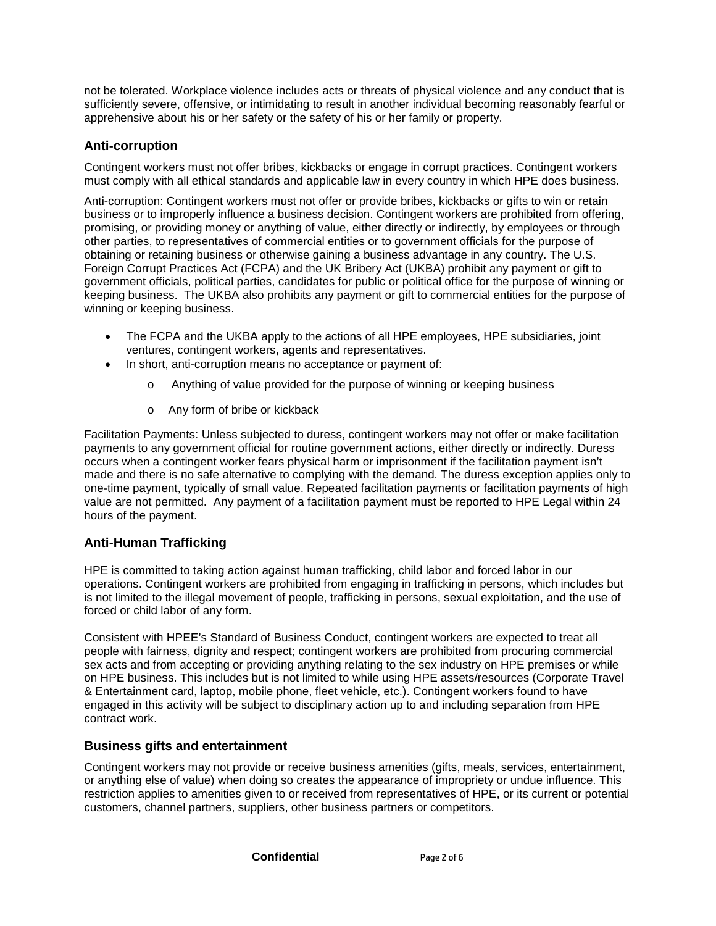not be tolerated. Workplace violence includes acts or threats of physical violence and any conduct that is sufficiently severe, offensive, or intimidating to result in another individual becoming reasonably fearful or apprehensive about his or her safety or the safety of his or her family or property.

## **Anti-corruption**

Contingent workers must not offer bribes, kickbacks or engage in corrupt practices. Contingent workers must comply with all ethical standards and applicable law in every country in which HPE does business.

Anti-corruption: Contingent workers must not offer or provide bribes, kickbacks or gifts to win or retain business or to improperly influence a business decision. Contingent workers are prohibited from offering, promising, or providing money or anything of value, either directly or indirectly, by employees or through other parties, to representatives of commercial entities or to government officials for the purpose of obtaining or retaining business or otherwise gaining a business advantage in any country. The U.S. Foreign Corrupt Practices Act (FCPA) and the UK Bribery Act (UKBA) prohibit any payment or gift to government officials, political parties, candidates for public or political office for the purpose of winning or keeping business. The UKBA also prohibits any payment or gift to commercial entities for the purpose of winning or keeping business.

- The FCPA and the UKBA apply to the actions of all HPE employees, HPE subsidiaries, joint ventures, contingent workers, agents and representatives.
- In short, anti-corruption means no acceptance or payment of:
	- o Anything of value provided for the purpose of winning or keeping business
	- o Any form of bribe or kickback

Facilitation Payments: Unless subjected to duress, contingent workers may not offer or make facilitation payments to any government official for routine government actions, either directly or indirectly. Duress occurs when a contingent worker fears physical harm or imprisonment if the facilitation payment isn't made and there is no safe alternative to complying with the demand. The duress exception applies only to one-time payment, typically of small value. Repeated facilitation payments or facilitation payments of high value are not permitted. Any payment of a facilitation payment must be reported to HPE Legal within 24 hours of the payment.

## **Anti-Human Trafficking**

HPE is committed to taking action against human trafficking, child labor and forced labor in our operations. Contingent workers are prohibited from engaging in trafficking in persons, which includes but is not limited to the illegal movement of people, trafficking in persons, sexual exploitation, and the use of forced or child labor of any form.

Consistent with HPEE's Standard of Business Conduct, contingent workers are expected to treat all people with fairness, dignity and respect; contingent workers are prohibited from procuring commercial sex acts and from accepting or providing anything relating to the sex industry on HPE premises or while on HPE business. This includes but is not limited to while using HPE assets/resources (Corporate Travel & Entertainment card, laptop, mobile phone, fleet vehicle, etc.). Contingent workers found to have engaged in this activity will be subject to disciplinary action up to and including separation from HPE contract work.

## **Business gifts and entertainment**

Contingent workers may not provide or receive business amenities (gifts, meals, services, entertainment, or anything else of value) when doing so creates the appearance of impropriety or undue influence. This restriction applies to amenities given to or received from representatives of HPE, or its current or potential customers, channel partners, suppliers, other business partners or competitors.

**Confidential** Page 2 of 6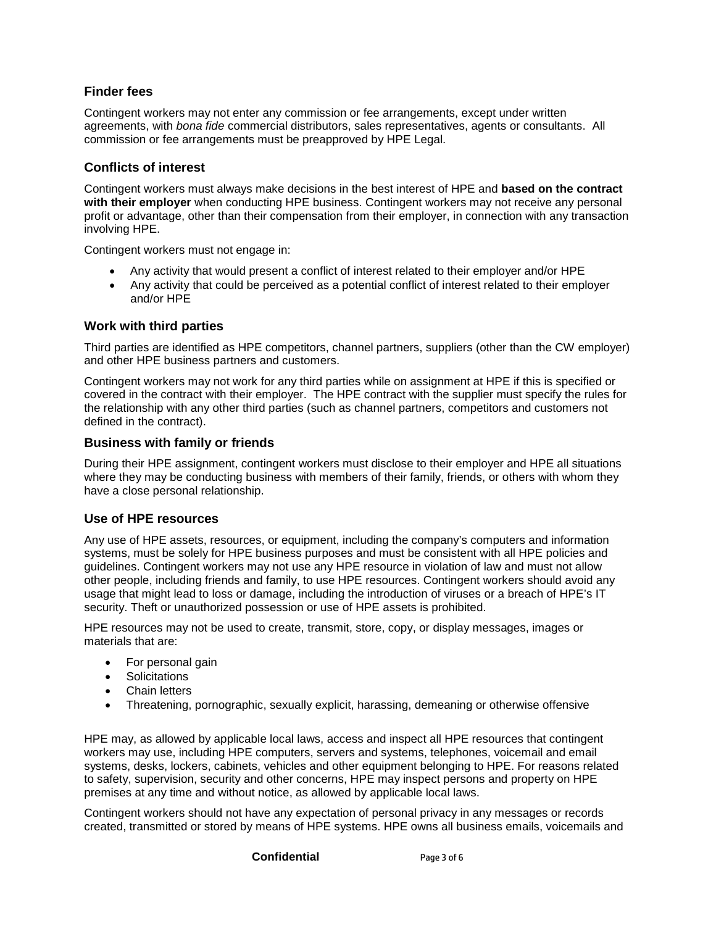## **Finder fees**

Contingent workers may not enter any commission or fee arrangements, except under written agreements, with *bona fide* commercial distributors, sales representatives, agents or consultants. All commission or fee arrangements must be preapproved by HPE Legal.

## **Conflicts of interest**

Contingent workers must always make decisions in the best interest of HPE and **based on the contract with their employer** when conducting HPE business. Contingent workers may not receive any personal profit or advantage, other than their compensation from their employer, in connection with any transaction involving HPE.

Contingent workers must not engage in:

- Any activity that would present a conflict of interest related to their employer and/or HPE
- Any activity that could be perceived as a potential conflict of interest related to their employer and/or HPE

## **Work with third parties**

Third parties are identified as HPE competitors, channel partners, suppliers (other than the CW employer) and other HPE business partners and customers.

Contingent workers may not work for any third parties while on assignment at HPE if this is specified or covered in the contract with their employer. The HPE contract with the supplier must specify the rules for the relationship with any other third parties (such as channel partners, competitors and customers not defined in the contract).

#### **Business with family or friends**

During their HPE assignment, contingent workers must disclose to their employer and HPE all situations where they may be conducting business with members of their family, friends, or others with whom they have a close personal relationship.

## **Use of HPE resources**

Any use of HPE assets, resources, or equipment, including the company's computers and information systems, must be solely for HPE business purposes and must be consistent with all HPE policies and guidelines. Contingent workers may not use any HPE resource in violation of law and must not allow other people, including friends and family, to use HPE resources. Contingent workers should avoid any usage that might lead to loss or damage, including the introduction of viruses or a breach of HPE's IT security. Theft or unauthorized possession or use of HPE assets is prohibited.

HPE resources may not be used to create, transmit, store, copy, or display messages, images or materials that are:

- For personal gain
- Solicitations
- Chain letters
- Threatening, pornographic, sexually explicit, harassing, demeaning or otherwise offensive

HPE may, as allowed by applicable local laws, access and inspect all HPE resources that contingent workers may use, including HPE computers, servers and systems, telephones, voicemail and email systems, desks, lockers, cabinets, vehicles and other equipment belonging to HPE. For reasons related to safety, supervision, security and other concerns, HPE may inspect persons and property on HPE premises at any time and without notice, as allowed by applicable local laws.

Contingent workers should not have any expectation of personal privacy in any messages or records created, transmitted or stored by means of HPE systems. HPE owns all business emails, voicemails and

**Confidential** Page 3 of 6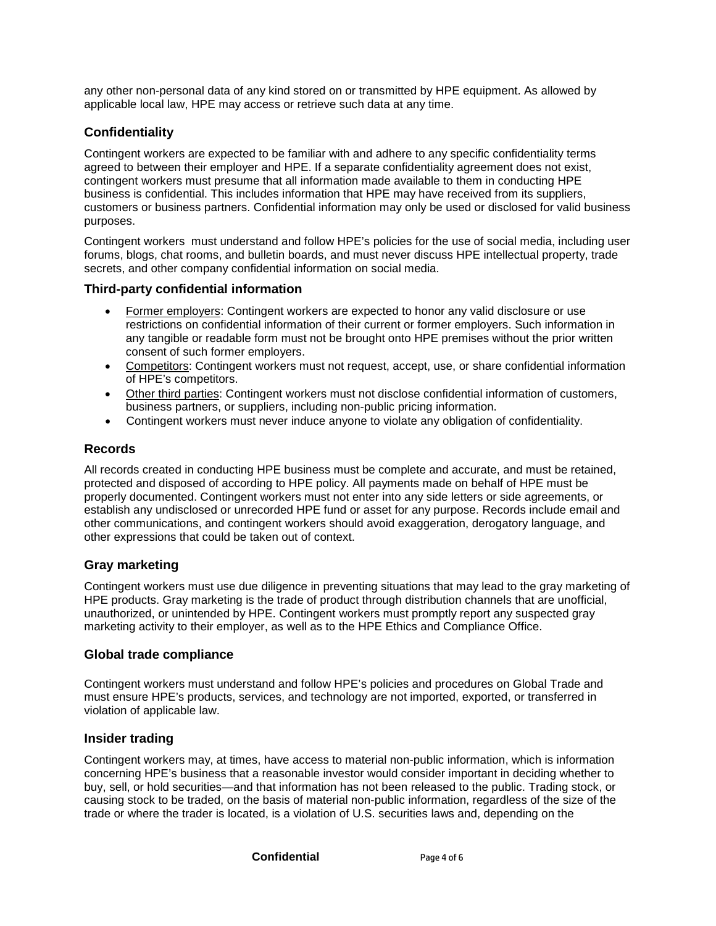any other non-personal data of any kind stored on or transmitted by HPE equipment. As allowed by applicable local law, HPE may access or retrieve such data at any time.

## **Confidentiality**

Contingent workers are expected to be familiar with and adhere to any specific confidentiality terms agreed to between their employer and HPE. If a separate confidentiality agreement does not exist, contingent workers must presume that all information made available to them in conducting HPE business is confidential. This includes information that HPE may have received from its suppliers, customers or business partners. Confidential information may only be used or disclosed for valid business purposes.

Contingent workers must understand and follow HPE's policies for the use of social media, including user forums, blogs, chat rooms, and bulletin boards, and must never discuss HPE intellectual property, trade secrets, and other company confidential information on social media.

## **Third-party confidential information**

- Former employers: Contingent workers are expected to honor any valid disclosure or use restrictions on confidential information of their current or former employers. Such information in any tangible or readable form must not be brought onto HPE premises without the prior written consent of such former employers.
- Competitors: Contingent workers must not request, accept, use, or share confidential information of HPE's competitors.
- Other third parties: Contingent workers must not disclose confidential information of customers, business partners, or suppliers, including non-public pricing information.
- Contingent workers must never induce anyone to violate any obligation of confidentiality.

#### **Records**

All records created in conducting HPE business must be complete and accurate, and must be retained, protected and disposed of according to HPE policy. All payments made on behalf of HPE must be properly documented. Contingent workers must not enter into any side letters or side agreements, or establish any undisclosed or unrecorded HPE fund or asset for any purpose. Records include email and other communications, and contingent workers should avoid exaggeration, derogatory language, and other expressions that could be taken out of context.

## **Gray marketing**

Contingent workers must use due diligence in preventing situations that may lead to the gray marketing of HPE products. Gray marketing is the trade of product through distribution channels that are unofficial, unauthorized, or unintended by HPE. Contingent workers must promptly report any suspected gray marketing activity to their employer, as well as to the HPE Ethics and Compliance Office.

## **Global trade compliance**

Contingent workers must understand and follow HPE's policies and procedures on Global Trade and must ensure HPE's products, services, and technology are not imported, exported, or transferred in violation of applicable law.

## **Insider trading**

Contingent workers may, at times, have access to material non-public information, which is information concerning HPE's business that a reasonable investor would consider important in deciding whether to buy, sell, or hold securities—and that information has not been released to the public. Trading stock, or causing stock to be traded, on the basis of material non-public information, regardless of the size of the trade or where the trader is located, is a violation of U.S. securities laws and, depending on the

**Confidential** Page 4 of 6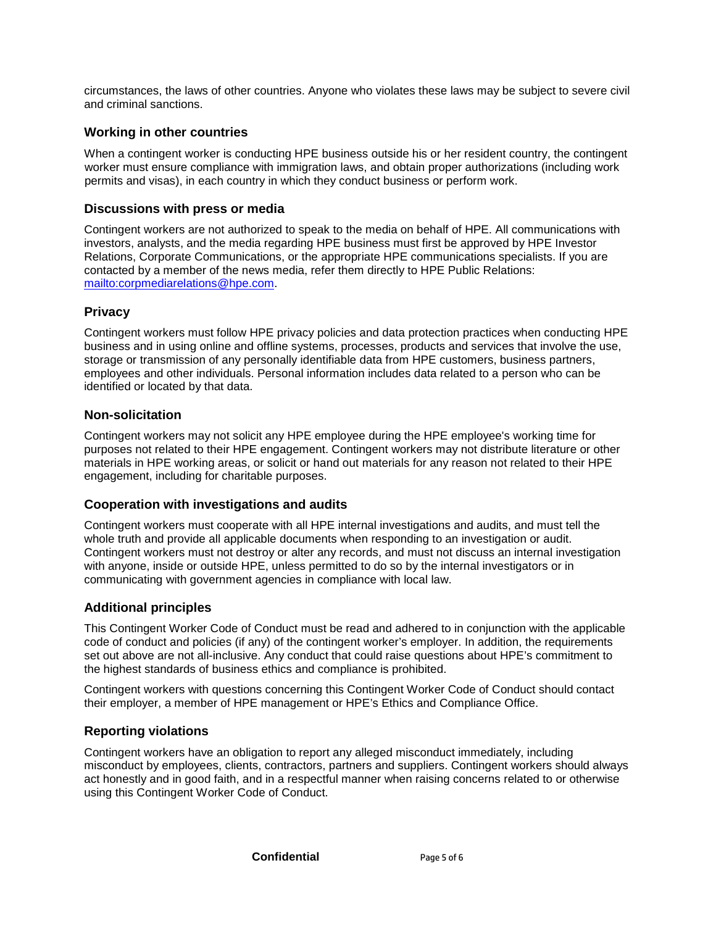circumstances, the laws of other countries. Anyone who violates these laws may be subject to severe civil and criminal sanctions.

## **Working in other countries**

When a contingent worker is conducting HPE business outside his or her resident country, the contingent worker must ensure compliance with immigration laws, and obtain proper authorizations (including work permits and visas), in each country in which they conduct business or perform work.

## **Discussions with press or media**

Contingent workers are not authorized to speak to the media on behalf of HPE. All communications with investors, analysts, and the media regarding HPE business must first be approved by HPE Investor Relations, Corporate Communications, or the appropriate HPE communications specialists. If you are contacted by a member of the news media, refer them directly to HPE Public Relations: [mailto:corpmediarelations@hpe.com.](mailto:corpmediarelations@hpe.com)

## **Privacy**

Contingent workers must follow HPE privacy policies and data protection practices when conducting HPE business and in using online and offline systems, processes, products and services that involve the use, storage or transmission of any personally identifiable data from HPE customers, business partners, employees and other individuals. Personal information includes data related to a person who can be identified or located by that data.

## **Non-solicitation**

Contingent workers may not solicit any HPE employee during the HPE employee's working time for purposes not related to their HPE engagement. Contingent workers may not distribute literature or other materials in HPE working areas, or solicit or hand out materials for any reason not related to their HPE engagement, including for charitable purposes.

## **Cooperation with investigations and audits**

Contingent workers must cooperate with all HPE internal investigations and audits, and must tell the whole truth and provide all applicable documents when responding to an investigation or audit. Contingent workers must not destroy or alter any records, and must not discuss an internal investigation with anyone, inside or outside HPE, unless permitted to do so by the internal investigators or in communicating with government agencies in compliance with local law.

## **Additional principles**

This Contingent Worker Code of Conduct must be read and adhered to in conjunction with the applicable code of conduct and policies (if any) of the contingent worker's employer. In addition, the requirements set out above are not all-inclusive. Any conduct that could raise questions about HPE's commitment to the highest standards of business ethics and compliance is prohibited.

Contingent workers with questions concerning this Contingent Worker Code of Conduct should contact their employer, a member of HPE management or HPE's Ethics and Compliance Office.

## **Reporting violations**

Contingent workers have an obligation to report any alleged misconduct immediately, including misconduct by employees, clients, contractors, partners and suppliers. Contingent workers should always act honestly and in good faith, and in a respectful manner when raising concerns related to or otherwise using this Contingent Worker Code of Conduct.